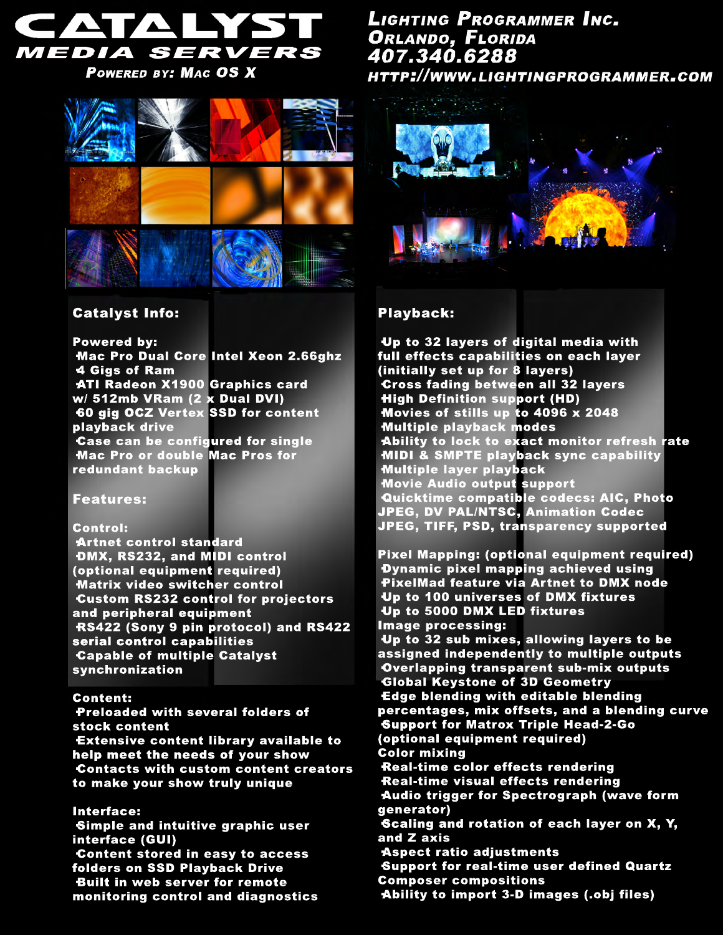

POWERED BY: MAG OS X



# LIGHTING PROGRAMMER INC. ORLANDO, FLORIDA 407.340.6288 HTTP://WWW.LIGHTINGPROGRAMMER.COM



## Catalyst Info:

Powered by:

·Mac Pro Dual Core Intel Xeon 2.66ghz ·4 Gigs of Ram ·ATI Radeon X1900 Graphics card w/ 512mb VRam (2 x Dual DVI) ·60 gig OCZ Vertex SSD for content playback drive ·Case can be configured for single ·Mac Pro or double Mac Pros for redundant backup

#### Features:

#### Control:

Preloaded with several folders of stock content

·Artnet control standard ·DMX, RS232, and MIDI control (optional equipment required) ·Matrix video switcher control ·Custom RS232 control for projectors and peripheral equipment ·RS422 (Sony 9 pin protocol) and RS422 serial control capabilities ·Capable of multiple Catalyst synchronization

#### Content:

·Extensive content library available to help meet the needs of your show ·Contacts with custom content creators to make your show truly unique

Interface:

·Simple and intuitive graphic user interface (GUI) ·Content stored in easy to access folders on SSD Playback Drive ·Built in web server for remote monitoring control and diagnostics

### Playback:

·Up to 32 layers of digital media with full effects capabilities on each layer (initially set up for 8 layers) ·Cross fading between all 32 layers ·High Definition support (HD) ·Movies of stills up to 4096 x 2048 ·Multiple playback modes ·Ability to lock to exact monitor refresh rate ·MIDI & SMPTE playback sync capability ·Multiple layer playback ·Movie Audio output support ·Quicktime compatible codecs: AIC, Photo JPEG, DV PAL/NTSC, Animation Codec JPEG, TIFF, PSD, transparency supported

Pixel Mapping: (optional equipment required) ·Dynamic pixel mapping achieved using ·PixelMad feature via Artnet to DMX node ·Up to 100 universes of DMX fixtures ·Up to 5000 DMX LED fixtures Image processing: ·Up to 32 sub mixes, allowing layers to be assigned independently to multiple outputs ·Overlapping transparent sub-mix outputs ·Global Keystone of 3D Geometry ·Edge blending with editable blending percentages, mix offsets, and a blending curve ·Support for Matrox Triple Head-2-Go (optional equipment required) Color mixing Real-time color effects rendering Real-time visual effects rendering ·Audio trigger for Spectrograph (wave form generator) ·Scaling and rotation of each layer on X, Y, and Z axis ·Aspect ratio adjustments ·Support for real-time user defined Quartz Composer compositions ·Ability to import 3-D images (.obj files)